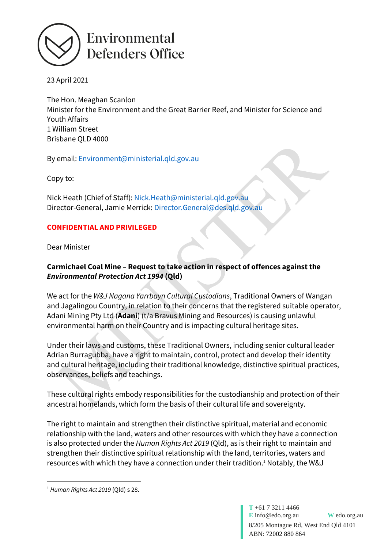

23 April 2021

The Hon. Meaghan Scanlon Minister for the Environment and the Great Barrier Reef, and Minister for Science and Youth Affairs 1 William Street Brisbane QLD 4000

By email: [Environment@ministerial.qld.gov.au](mailto:Environment@ministerial.qld.gov.au)

Copy to:

Nick Heath (Chief of Staff): [Nick.Heath@ministerial.qld.gov.au](mailto:Nick.Heath@ministerial.qld.gov.au) Director-General, Jamie Merrick[: Director.General@des.qld.gov.au](mailto:Director.General@des.qld.gov.au)

## **CONFIDENTIAL AND PRIVILEGED**

Dear Minister

## **Carmichael Coal Mine – Request to take action in respect of offences against the**  *Environmental Protection Act 1994* **(Qld)**

We act for the *W&J Nagana Yarrbayn Cultural Custodians*, Traditional Owners of Wangan and Jagalingou Country, in relation to their concerns that the registered suitable operator, Adani Mining Pty Ltd (**Adani**) (t/a Bravus Mining and Resources) is causing unlawful environmental harm on their Country and is impacting cultural heritage sites.

Under their laws and customs, these Traditional Owners, including senior cultural leader Adrian Burragubba, have a right to maintain, control, protect and develop their identity and cultural heritage, including their traditional knowledge, distinctive spiritual practices, observances, beliefs and teachings.

These cultural rights embody responsibilities for the custodianship and protection of their ancestral homelands, which form the basis of their cultural life and sovereignty.

The right to maintain and strengthen their distinctive spiritual, material and economic relationship with the land, waters and other resources with which they have a connection is also protected under the *Human Rights Act 2019* (Qld), as is their right to maintain and strengthen their distinctive spiritual relationship with the land, territories, waters and resources with which they have a connection under their tradition. <sup>1</sup> Notably, the W&J

<sup>1</sup> *Human Rights Act 2019* (Qld) s 28.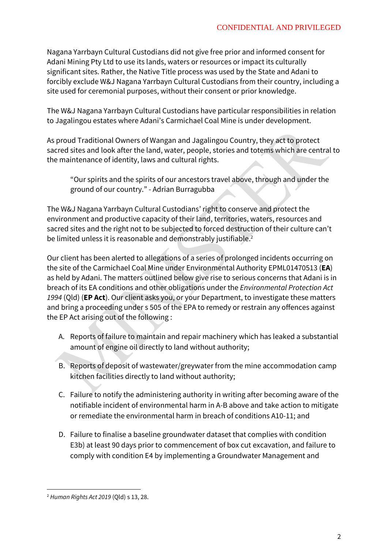Nagana Yarrbayn Cultural Custodians did not give free prior and informed consent for Adani Mining Pty Ltd to use its lands, waters or resources or impact its culturally significant sites. Rather, the Native Title process was used by the State and Adani to forcibly exclude W&J Nagana Yarrbayn Cultural Custodians from their country, including a site used for ceremonial purposes, without their consent or prior knowledge.

The W&J Nagana Yarrbayn Cultural Custodians have particular responsibilities in relation to Jagalingou estates where Adani's Carmichael Coal Mine is under development.

As proud Traditional Owners of Wangan and Jagalingou Country, they act to protect sacred sites and look after the land, water, people, stories and totems which are central to the maintenance of identity, laws and cultural rights.

"Our spirits and the spirits of our ancestors travel above, through and under the ground of our country." - Adrian Burragubba

The W&J Nagana Yarrbayn Cultural Custodians' right to conserve and protect the environment and productive capacity of their land, territories, waters, resources and sacred sites and the right not to be subjected to forced destruction of their culture can't be limited unless it is reasonable and demonstrably justifiable.<sup>2</sup>

Our client has been alerted to allegations of a series of prolonged incidents occurring on the site of the Carmichael Coal Mine under Environmental Authority EPML01470513 (**EA**) as held by Adani. The matters outlined below give rise to serious concerns that Adani is in breach of its EA conditions and other obligations under the *Environmental Protection Act 1994* (Qld) (**EP Act**). Our client asks you, or your Department, to investigate these matters and bring a proceeding under s 505 of the EPA to remedy or restrain any offences against the EP Act arising out of the following :

- A. Reports of failure to maintain and repair machinery which has leaked a substantial amount of engine oil directly to land without authority;
- B. Reports of deposit of wastewater/greywater from the mine accommodation camp kitchen facilities directly to land without authority;
- C. Failure to notify the administering authority in writing after becoming aware of the notifiable incident of environmental harm in A-B above and take action to mitigate or remediate the environmental harm in breach of conditions A10-11; and
- D. Failure to finalise a baseline groundwater dataset that complies with condition E3b) at least 90 days prior to commencement of box cut excavation, and failure to comply with condition E4 by implementing a Groundwater Management and

<sup>2</sup> *Human Rights Act 2019* (Qld) s 13, 28.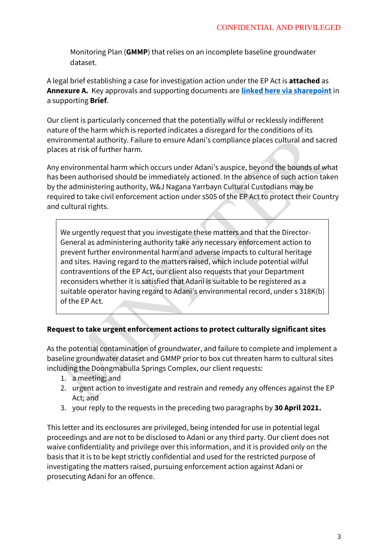Monitoring Plan (**GMMP**) that relies on an incomplete baseline groundwater dataset.

A legal brief establishing a case for investigation action under the EP Act is **attached** as **Annexure A.** Key approvals and supporting documents are **[linked here via sharepoint](https://edonsw.sharepoint.com/:f:/s/EDO-Brisbane-Public/EnfMsgE7n-9EnilXYvidFIsBgUTttB6dcDrc1EictkHNDA?e=ibAdl1)** in a supporting **Brief**.

Our client is particularly concerned that the potentially wilful or recklessly indifferent nature of the harm which is reported indicates a disregard for the conditions of its environmental authority. Failure to ensure Adani's compliance places cultural and sacred places at risk of further harm.

Any environmental harm which occurs under Adani's auspice, beyond the bounds of what has been authorised should be immediately actioned. In the absence of such action taken by the administering authority, W&J Nagana Yarrbayn Cultural Custodians may be required to take civil enforcement action under s505 of the EP Act to protect their Country and cultural rights.

We urgently request that you investigate these matters and that the Director-General as administering authority take any necessary enforcement action to prevent further environmental harm and adverse impacts to cultural heritage and sites. Having regard to the matters raised, which include potential wilful contraventions of the EP Act, our client also requests that your Department reconsiders whether it is satisfied that Adani is suitable to be registered as a suitable operator having regard to Adani's environmental record, under s 318K(b) of the EP Act.

## **Request to take urgent enforcement actions to protect culturally significant sites**

As the potential contamination of groundwater, and failure to complete and implement a baseline groundwater dataset and GMMP prior to box cut threaten harm to cultural sites including the Doongmabulla Springs Complex, our client requests:

- 1. a meeting; and
- 2. urgent action to investigate and restrain and remedy any offences against the EP Act; and
- 3. your reply to the requests in the preceding two paragraphs by **30 April 2021.**

This letter and its enclosures are privileged, being intended for use in potential legal proceedings and are not to be disclosed to Adani or any third party. Our client does not waive confidentiality and privilege over this information, and it is provided only on the basis that it is to be kept strictly confidential and used for the restricted purpose of investigating the matters raised, pursuing enforcement action against Adani or prosecuting Adani for an offence.